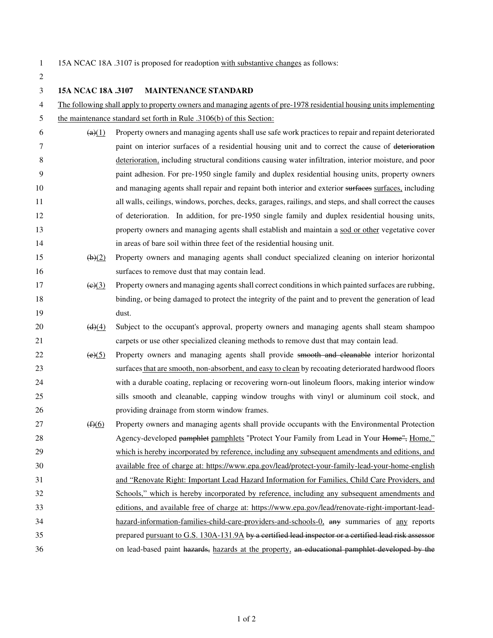2

1 15A NCAC 18A .3107 is proposed for readoption with substantive changes as follows:

3 **15A NCAC 18A .3107 MAINTENANCE STANDARD**  4 The following shall apply to property owners and managing agents of pre-1978 residential housing units implementing 5 the maintenance standard set forth in Rule .3106(b) of this Section:  $\frac{49(1)}{20}$  Property owners and managing agents shall use safe work practices to repair and repaint deteriorated 7 paint on interior surfaces of a residential housing unit and to correct the cause of deterioration 8 deterioration, including structural conditions causing water infiltration, interior moisture, and poor 9 paint adhesion. For pre-1950 single family and duplex residential housing units, property owners 10 and managing agents shall repair and repaint both interior and exterior surfaces surfaces, including 11 all walls, ceilings, windows, porches, decks, garages, railings, and steps, and shall correct the causes 12 of deterioration. In addition, for pre-1950 single family and duplex residential housing units, 13 property owners and managing agents shall establish and maintain a sod or other vegetative cover 14 in areas of bare soil within three feet of the residential housing unit.  $\left(\frac{b}{2}\right)$  Property owners and managing agents shall conduct specialized cleaning on interior horizontal 16 surfaces to remove dust that may contain lead.  $17 \left( \frac{e}{x} \right)$  Property owners and managing agents shall correct conditions in which painted surfaces are rubbing, 18 binding, or being damaged to protect the integrity of the paint and to prevent the generation of lead 19 dust. 20  $(d)(4)$  Subject to the occupant's approval, property owners and managing agents shall steam shampoo 21 carpets or use other specialized cleaning methods to remove dust that may contain lead.  $\left(\frac{e}{5}\right)$  Property owners and managing agents shall provide smooth and cleanable interior horizontal 23 surfaces that are smooth, non-absorbent, and easy to clean by recoating deteriorated hardwood floors 24 with a durable coating, replacing or recovering worn-out linoleum floors, making interior window 25 sills smooth and cleanable, capping window troughs with vinyl or aluminum coil stock, and 26 providing drainage from storm window frames.  $27$  ( $\bigoplus$ ) Property owners and managing agents shall provide occupants with the Environmental Protection 28 Agency-developed pamphlet pamphlets "Protect Your Family from Lead in Your Home", Home," 29 which is hereby incorporated by reference, including any subsequent amendments and editions, and 30 available free of charge at: https://www.epa.gov/lead/protect-your-family-lead-your-home-english 31 and "Renovate Right: Important Lead Hazard Information for Families, Child Care Providers, and 32 Schools," which is hereby incorporated by reference, including any subsequent amendments and 33 editions, and available free of charge at: https://www.epa.gov/lead/renovate-right-important-lead-34 hazard-information-families-child-care-providers-and-schools-0, any summaries of any reports 35 prepared pursuant to G.S. 130A-131.9A by a certified lead inspector or a certified lead risk assessor 36 36 on lead-based paint hazards, hazards at the property, an educational pamphlet developed by the